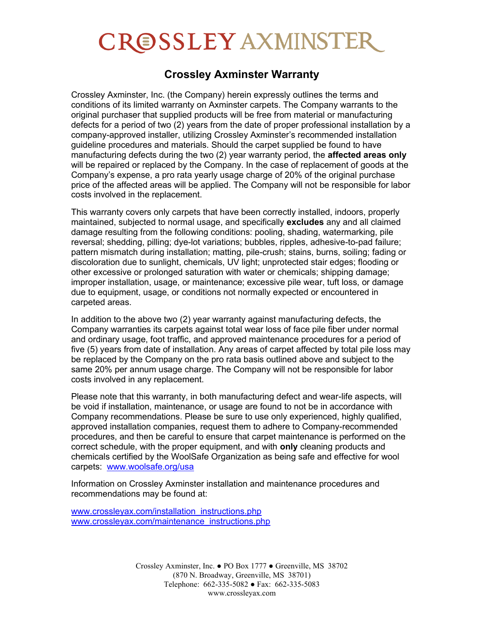## **CROSSLEY AXMINSTER**

## **Crossley Axminster Warranty**

Crossley Axminster, Inc. (the Company) herein expressly outlines the terms and conditions of its limited warranty on Axminster carpets. The Company warrants to the original purchaser that supplied products will be free from material or manufacturing defects for a period of two (2) years from the date of proper professional installation by a company-approved installer, utilizing Crossley Axminster's recommended installation guideline procedures and materials. Should the carpet supplied be found to have manufacturing defects during the two (2) year warranty period, the **affected areas only** will be repaired or replaced by the Company. In the case of replacement of goods at the Company's expense, a pro rata yearly usage charge of 20% of the original purchase price of the affected areas will be applied. The Company will not be responsible for labor costs involved in the replacement.

This warranty covers only carpets that have been correctly installed, indoors, properly maintained, subjected to normal usage, and specifically **excludes** any and all claimed damage resulting from the following conditions: pooling, shading, watermarking, pile reversal; shedding, pilling; dye-lot variations; bubbles, ripples, adhesive-to-pad failure; pattern mismatch during installation; matting, pile-crush; stains, burns, soiling; fading or discoloration due to sunlight, chemicals, UV light; unprotected stair edges; flooding or other excessive or prolonged saturation with water or chemicals; shipping damage; improper installation, usage, or maintenance; excessive pile wear, tuft loss, or damage due to equipment, usage, or conditions not normally expected or encountered in carpeted areas.

In addition to the above two (2) year warranty against manufacturing defects, the Company warranties its carpets against total wear loss of face pile fiber under normal and ordinary usage, foot traffic, and approved maintenance procedures for a period of five (5) years from date of installation. Any areas of carpet affected by total pile loss may be replaced by the Company on the pro rata basis outlined above and subject to the same 20% per annum usage charge. The Company will not be responsible for labor costs involved in any replacement.

Please note that this warranty, in both manufacturing defect and wear-life aspects, will be void if installation, maintenance, or usage are found to not be in accordance with Company recommendations. Please be sure to use only experienced, highly qualified, approved installation companies, request them to adhere to Company-recommended procedures, and then be careful to ensure that carpet maintenance is performed on the correct schedule, with the proper equipment, and with **only** cleaning products and chemicals certified by the WoolSafe Organization as being safe and effective for wool carpets: [www.woolsafe.org/usa](http://www.woolsafe.org/usa)

Information on Crossley Axminster installation and maintenance procedures and recommendations may be found at:

[www.crossleyax.com/installation\\_instructions.php](http://www.crossleyax.com/installation_instructions.php) [www.crossleyax.com/maintenance\\_instructions.php](http://www.crossleyax.com/maintenance_instructions.php)

> Crossley Axminster, Inc.  $\bullet$  PO Box 1777  $\bullet$  Greenville, MS 38702 (870 N. Broadway, Greenville, MS 38701) Telephone: 662-335-5082 • Fax: 662-335-5083 www.crossleyax.com